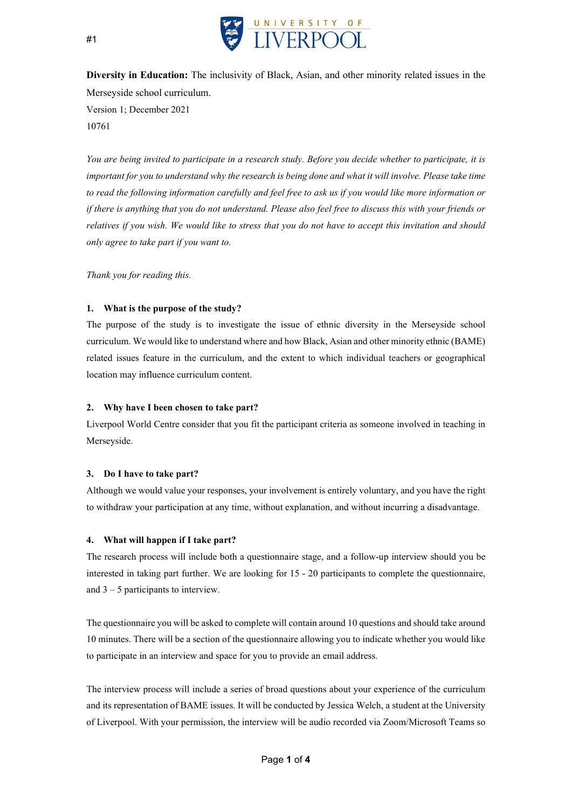

Diversity in Education: The inclusivity of Black, Asian, and other minority related issues in the Merseyside school curriculum. Version 1; December 2021 10761

You are being invited to participate in a research study. Before you decide whether to participate, it is important for you to understand why the research is being done and what it will involve. Please take time to read the following information carefully and feel free to ask us if you would like more information or if there is anything that you do not understand. Please also feel free to discuss this with your friends or relatives if you wish. We would like to stress that you do not have to accept this invitation and should only agree to take part if you want to.

Thank you for reading this.

## 1. What is the purpose of the study?

The purpose of the study is to investigate the issue of ethnic diversity in the Merseyside school curriculum. We would like to understand where and how Black, Asian and other minority ethnic (BAME) related issues feature in the curriculum, and the extent to which individual teachers or geographical location may influence curriculum content.

## 2. Why have I been chosen to take part?

Liverpool World Centre consider that you fit the participant criteria as someone involved in teaching in Merseyside.

#### 3. Do I have to take part?

Although we would value your responses, your involvement is entirely voluntary, and you have the right to withdraw your participation at any time, without explanation, and without incurring a disadvantage.

## 4. What will happen if I take part?

The research process will include both a questionnaire stage, and a follow-up interview should you be interested in taking part further. We are looking for 15 - 20 participants to complete the questionnaire, and  $3 - 5$  participants to interview.

The questionnaire you will be asked to complete will contain around 10 questions and should take around 10 minutes. There will be a section of the questionnaire allowing you to indicate whether you would like to participate in an interview and space for you to provide an email address.

The interview process will include a series of broad questions about your experience of the curriculum and its representation of BAME issues. It will be conducted by Jessica Welch, a student at the University of Liverpool. With your permission, the interview will be audio recorded via Zoom/Microsoft Teams so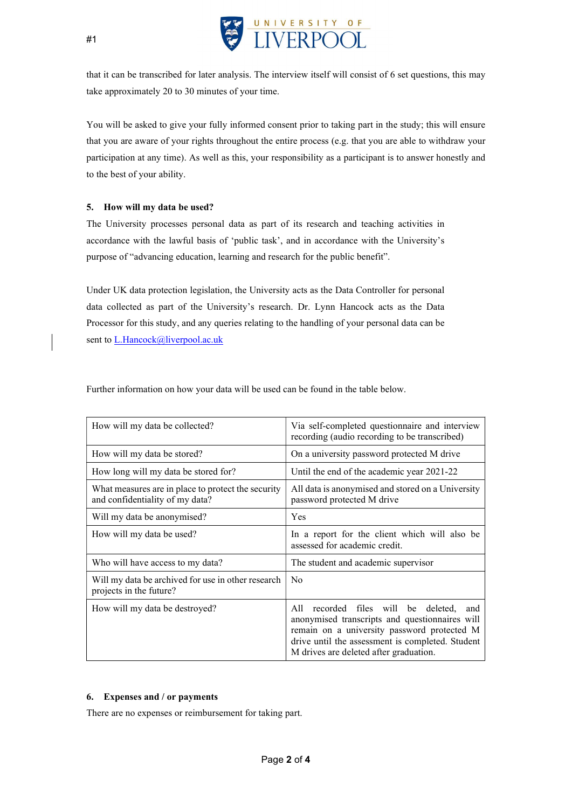

that it can be transcribed for later analysis. The interview itself will consist of 6 set questions, this may take approximately 20 to 30 minutes of your time.

You will be asked to give your fully informed consent prior to taking part in the study; this will ensure that you are aware of your rights throughout the entire process (e.g. that you are able to withdraw your participation at any time). As well as this, your responsibility as a participant is to answer honestly and to the best of your ability.

## 5. How will my data be used?

The University processes personal data as part of its research and teaching activities in accordance with the lawful basis of 'public task', and in accordance with the University's purpose of "advancing education, learning and research for the public benefit".

Under UK data protection legislation, the University acts as the Data Controller for personal data collected as part of the University's research. Dr. Lynn Hancock acts as the Data Processor for this study, and any queries relating to the handling of your personal data can be sent to L.Hancock@liverpool.ac.uk

Further information on how your data will be used can be found in the table below.

| How will my data be collected?                                                        | Via self-completed questionnaire and interview<br>recording (audio recording to be transcribed)                                                                                                                                           |
|---------------------------------------------------------------------------------------|-------------------------------------------------------------------------------------------------------------------------------------------------------------------------------------------------------------------------------------------|
| How will my data be stored?                                                           | On a university password protected M drive                                                                                                                                                                                                |
| How long will my data be stored for?                                                  | Until the end of the academic year 2021-22                                                                                                                                                                                                |
| What measures are in place to protect the security<br>and confidentiality of my data? | All data is anonymised and stored on a University<br>password protected M drive                                                                                                                                                           |
| Will my data be anonymised?                                                           | Yes                                                                                                                                                                                                                                       |
| How will my data be used?                                                             | In a report for the client which will also be<br>assessed for academic credit.                                                                                                                                                            |
| Who will have access to my data?                                                      | The student and academic supervisor                                                                                                                                                                                                       |
| Will my data be archived for use in other research<br>projects in the future?         | N <sub>0</sub>                                                                                                                                                                                                                            |
| How will my data be destroyed?                                                        | recorded files will be deleted, and<br>All<br>anonymised transcripts and questionnaires will<br>remain on a university password protected M<br>drive until the assessment is completed. Student<br>M drives are deleted after graduation. |

## 6. Expenses and / or payments

There are no expenses or reimbursement for taking part.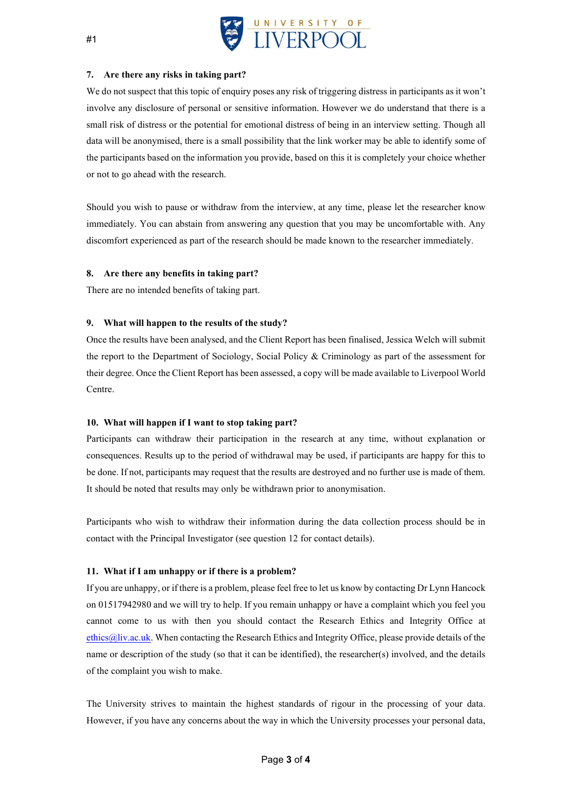

#### 7. Are there any risks in taking part?

We do not suspect that this topic of enquiry poses any risk of triggering distress in participants as it won't involve any disclosure of personal or sensitive information. However we do understand that there is a small risk of distress or the potential for emotional distress of being in an interview setting. Though all data will be anonymised, there is a small possibility that the link worker may be able to identify some of the participants based on the information you provide, based on this it is completely your choice whether or not to go ahead with the research.

Should you wish to pause or withdraw from the interview, at any time, please let the researcher know immediately. You can abstain from answering any question that you may be uncomfortable with. Any discomfort experienced as part of the research should be made known to the researcher immediately.

#### 8. Are there any benefits in taking part?

There are no intended benefits of taking part.

#### 9. What will happen to the results of the study?

Once the results have been analysed, and the Client Report has been finalised, Jessica Welch will submit the report to the Department of Sociology, Social Policy & Criminology as part of the assessment for their degree. Once the Client Report has been assessed, a copy will be made available to Liverpool World Centre.

#### 10. What will happen if I want to stop taking part?

Participants can withdraw their participation in the research at any time, without explanation or consequences. Results up to the period of withdrawal may be used, if participants are happy for this to be done. If not, participants may request that the results are destroyed and no further use is made of them. It should be noted that results may only be withdrawn prior to anonymisation.

Participants who wish to withdraw their information during the data collection process should be in contact with the Principal Investigator (see question 12 for contact details).

#### 11. What if I am unhappy or if there is a problem?

If you are unhappy, or if there is a problem, please feel free to let us know by contacting Dr Lynn Hancock on 01517942980 and we will try to help. If you remain unhappy or have a complaint which you feel you cannot come to us with then you should contact the Research Ethics and Integrity Office at ethics@liv.ac.uk. When contacting the Research Ethics and Integrity Office, please provide details of the name or description of the study (so that it can be identified), the researcher(s) involved, and the details of the complaint you wish to make.

The University strives to maintain the highest standards of rigour in the processing of your data. However, if you have any concerns about the way in which the University processes your personal data,